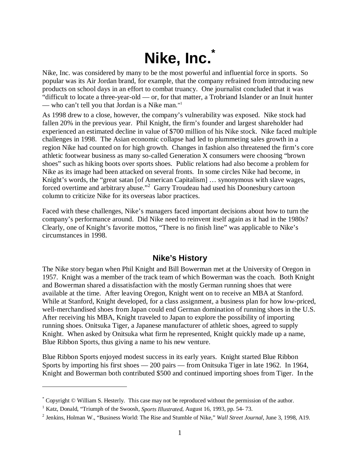# **Nike, Inc. \***

Nike, Inc. was considered by many to be the most powerful and influential force in sports. So popular was its Air Jordan brand, for example, that the company refrained from introducing new products on school days in an effort to combat truancy. One journalist concluded that it was "difficult to locate a three-year-old — or, for that matter, a Trobriand Islander or an Inuit hunter — who can't tell you that Jordan is a Nike man."<sup>1</sup>

As 1998 drew to a close, however, the company's vulnerability was exposed. Nike stock had fallen 20% in the previous year. Phil Knight, the firm's founder and largest shareholder had experienced an estimated decline in value of \$700 million of his Nike stock. Nike faced multiple challenges in 1998. The Asian economic collapse had led to plummeting sales growth in a region Nike had counted on for high growth. Changes in fashion also threatened the firm's core athletic footwear business as many so-called Generation X consumers were choosing "brown shoes" such as hiking boots over sports shoes. Public relations had also become a problem for Nike as its image had been attacked on several fronts. In some circles Nike had become, in Knight's words, the "great satan [of American Capitalism] … synonymous with slave wages, forced overtime and arbitrary abuse."<sup>2</sup> Garry Troudeau had used his Doonesbury cartoon column to criticize Nike for its overseas labor practices.

Faced with these challenges, Nike's managers faced important decisions about how to turn the company's performance around. Did Nike need to reinvent itself again as it had in the 1980s? Clearly, one of Knight's favorite mottos, "There is no finish line" was applicable to Nike's circumstances in 1998.

## **Nike's History**

The Nike story began when Phil Knight and Bill Bowerman met at the University of Oregon in 1957. Knight was a member of the track team of which Bowerman was the coach. Both Knight and Bowerman shared a dissatisfaction with the mostly German running shoes that were available at the time. After leaving Oregon, Knight went on to receive an MBA at Stanford. While at Stanford, Knight developed, for a class assignment, a business plan for how low-priced, well-merchandised shoes from Japan could end German domination of running shoes in the U.S. After receiving his MBA, Knight traveled to Japan to explore the possibility of importing running shoes. Onitsuka Tiger, a Japanese manufacturer of athletic shoes, agreed to supply Knight. When asked by Onitsuka what firm he represented, Knight quickly made up a name, Blue Ribbon Sports, thus giving a name to his new venture.

Blue Ribbon Sports enjoyed modest success in its early years. Knight started Blue Ribbon Sports by importing his first shoes — 200 pairs — from Onitsuka Tiger in late 1962. In 1964, Knight and Bowerman both contributed \$500 and continued importing shoes from Tiger. In the

<sup>\*</sup> Copyright © William S. Hesterly. This case may not be reproduced without the permission of the author.

<sup>&</sup>lt;sup>1</sup> Katz, Donald, "Triumph of the Swoosh, Sports Illustrated, August 16, 1993, pp. 54-73.

<sup>2</sup> Jenkins, Holman W., "Business World: The Rise and Stumble of Nike," *Wall Street Journal*, June 3, 1998, A19.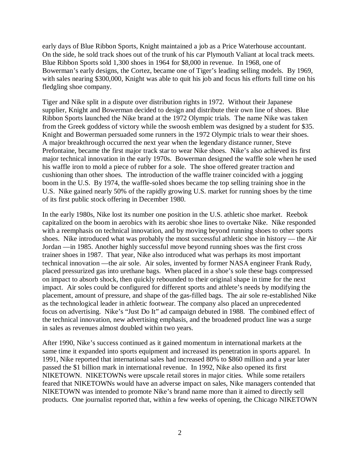early days of Blue Ribbon Sports, Knight maintained a job as a Price Waterhouse accountant. On the side, he sold track shoes out of the trunk of his car Plymouth Valiant at local track meets. Blue Ribbon Sports sold 1,300 shoes in 1964 for \$8,000 in revenue. In 1968, one of Bowerman's early designs, the Cortez, became one of Tiger's leading selling models. By 1969, with sales nearing \$300,000, Knight was able to quit his job and focus his efforts full time on his fledgling shoe company.

Tiger and Nike split in a dispute over distribution rights in 1972. Without their Japanese supplier, Knight and Bowerman decided to design and distribute their own line of shoes. Blue Ribbon Sports launched the Nike brand at the 1972 Olympic trials. The name Nike was taken from the Greek goddess of victory while the swoosh emblem was designed by a student for \$35. Knight and Bowerman persuaded some runners in the 1972 Olympic trials to wear their shoes. A major breakthrough occurred the next year when the legendary distance runner, Steve Prefontaine, became the first major track star to wear Nike shoes. Nike's also achieved its first major technical innovation in the early 1970s. Bowerman designed the waffle sole when he used his waffle iron to mold a piece of rubber for a sole. The shoe offered greater traction and cushioning than other shoes. The introduction of the waffle trainer coincided with a jogging boom in the U.S. By 1974, the waffle-soled shoes became the top selling training shoe in the U.S. Nike gained nearly 50% of the rapidly growing U.S. market for running shoes by the time of its first public stock offering in December 1980.

In the early 1980s, Nike lost its number one position in the U.S. athletic shoe market. Reebok capitalized on the boom in aerobics with its aerobic shoe lines to overtake Nike. Nike responded with a reemphasis on technical innovation, and by moving beyond running shoes to other sports shoes. Nike introduced what was probably the most successful athletic shoe in history — the Air Jordan —in 1985. Another highly successful move beyond running shoes was the first cross trainer shoes in 1987. That year, Nike also introduced what was perhaps its most important technical innovation —the air sole. Air soles, invented by former NASA engineer Frank Rudy, placed pressurized gas into urethane bags. When placed in a shoe's sole these bags compressed on impact to absorb shock, then quickly rebounded to their original shape in time for the next impact. Air soles could be configured for different sports and athlete's needs by modifying the placement, amount of pressure, and shape of the gas-filled bags. The air sole re-established Nike as the technological leader in athletic footwear. The company also placed an unprecedented focus on advertising. Nike's "Just Do It" ad campaign debuted in 1988. The combined effect of the technical innovation, new advertising emphasis, and the broadened product line was a surge in sales as revenues almost doubled within two years.

After 1990, Nike's success continued as it gained momentum in international markets at the same time it expanded into sports equipment and increased its penetration in sports apparel. In 1991, Nike reported that international sales had increased 80% to \$860 million and a year later passed the \$1 billion mark in international revenue. In 1992, Nike also opened its first NIKETOWN. NIKETOWNs were upscale retail stores in major cities. While some retailers feared that NIKETOWNs would have an adverse impact on sales, Nike managers contended that NIKETOWN was intended to promote Nike's brand name more than it aimed to directly sell products. One journalist reported that, within a few weeks of opening, the Chicago NIKETOWN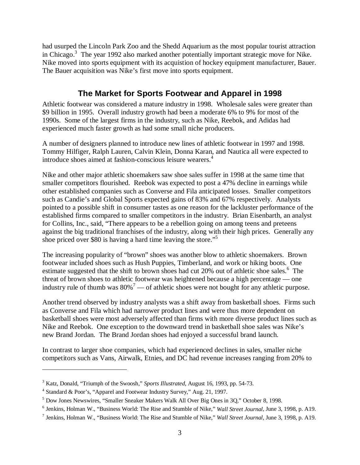had usurped the Lincoln Park Zoo and the Shedd Aquarium as the most popular tourist attraction in Chicago.<sup>3</sup> The year 1992 also marked another potentially important strategic move for Nike. Nike moved into sports equipment with its acquistion of hockey equipment manufacturer, Bauer. The Bauer acquisition was Nike's first move into sports equipment.

# **The Market for Sports Footwear and Apparel in 1998**

Athletic footwear was considered a mature industry in 1998. Wholesale sales were greater than \$9 billion in 1995. Overall industry growth had been a moderate 6% to 9% for most of the 1990s. Some of the largest firms in the industry, such as Nike, Reebok, and Adidas had experienced much faster growth as had some small niche producers.

A number of designers planned to introduce new lines of athletic footwear in 1997 and 1998. Tommy Hilfiger, Ralph Lauren, Calvin Klein, Donna Karan, and Nautica all were expected to introduce shoes aimed at fashion-conscious leisure wearers.<sup>4</sup>

Nike and other major athletic shoemakers saw shoe sales suffer in 1998 at the same time that smaller competitors flourished. Reebok was expected to post a 47% decline in earnings while other established companies such as Converse and Fila anticipated losses. Smaller competitors such as Candie's and Global Sports expected gains of 83% and 67% respectively. Analysts pointed to a possible shift in consumer tastes as one reason for the lackluster performance of the established firms compared to smaller competitors in the industry. Brian Eisenbarth, an analyst for Collins, Inc., said, "There appears to be a rebellion going on among teens and preteens against the big traditional franchises of the industry, along with their high prices. Generally any shoe priced over \$80 is having a hard time leaving the store."5

The increasing popularity of "brown" shoes was another blow to athletic shoemakers. Brown footwear included shoes such as Hush Puppies, Timberland, and work or hiking boots. One estimate suggested that the shift to brown shoes had cut 20% out of athletic shoe sales.<sup>6</sup> The threat of brown shoes to athletic footwear was heightened because a high percentage — one industry rule of thumb was  $80\%$ <sup>7</sup> — of athletic shoes were not bought for any athletic purpose.

Another trend observed by industry analysts was a shift away from basketball shoes. Firms such as Converse and Fila which had narrower product lines and were thus more dependent on basketball shoes were most adversely affected than firms with more diverse product lines such as Nike and Reebok. One exception to the downward trend in basketball shoe sales was Nike's new Brand Jordan. The Brand Jordan shoes had enjoyed a successful brand launch.

In contrast to larger shoe companies, which had experienced declines in sales, smaller niche competitors such as Vans, Airwalk, Etnies, and DC had revenue increases ranging from 20% to

<sup>3</sup> Katz, Donald, "Triumph of the Swoosh," *Sports Illustrated*, August 16, 1993, pp. 54-73.

<sup>&</sup>lt;sup>4</sup> Standard & Poor's, "Apparel and Footwear Industry Survey," Aug. 21, 1997.

<sup>&</sup>lt;sup>5</sup> Dow Jones Newswires, "Smaller Sneaker Makers Walk All Over Big Ones in 3Q," October 8, 1998.

<sup>6</sup> Jenkins, Holman W., "Business World: The Rise and Stumble of Nike," *Wall Street Journal*, June 3, 1998, p. A19.

<sup>7</sup> Jenkins, Holman W., "Business World: The Rise and Stumble of Nike," *Wall Street Journal*, June 3, 1998, p. A19.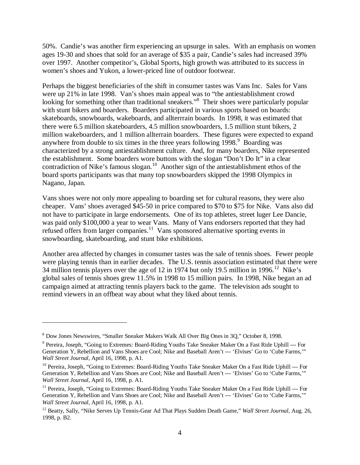50%. Candie's was another firm experiencing an upsurge in sales. With an emphasis on women ages 19-30 and shoes that sold for an average of \$35 a pair, Candie's sales had increased 39% over 1997. Another competitor's, Global Sports, high growth was attributed to its success in women's shoes and Yukon, a lower-priced line of outdoor footwear.

Perhaps the biggest beneficiaries of the shift in consumer tastes was Vans Inc. Sales for Vans were up 21% in late 1998. Van's shoes main appeal was to "the antiestablishment crowd looking for something other than traditional sneakers."<sup>8</sup> Their shoes were particularly popular with stunt bikers and boarders. Boarders participated in various sports based on boards: skateboards, snowboards, wakeboards, and allterrrain boards. In 1998, it was estimated that there were 6.5 million skateboarders, 4.5 million snowboarders, 1.5 million stunt bikers, 2 million wakeboarders, and 1 million allterrain boarders. These figures were expected to expand anywhere from double to six times in the three years following  $1998$ . Boarding was characterized by a strong antiestablishment culture. And, for many boarders, Nike represented the establishment. Some boarders wore buttons with the slogan "Don't Do It" in a clear contradiction of Nike's famous slogan.<sup>10</sup> Another sign of the antiestablishment ethos of the board sports participants was that many top snowboarders skipped the 1998 Olympics in Nagano, Japan.

Vans shoes were not only more appealing to boarding set for cultural reasons, they were also cheaper. Vans' shoes averaged \$45-50 in price compared to \$70 to \$75 for Nike. Vans also did not have to participate in large endorsements. One of its top athletes, street luger Lee Dancie, was paid only \$100,000 a year to wear Vans. Many of Vans endorsers reported that they had refused offers from larger companies.<sup>11</sup> Vans sponsored alternative sporting events in snowboarding, skateboarding, and stunt bike exhibitions.

Another area affected by changes in consumer tastes was the sale of tennis shoes. Fewer people were playing tennis than in earlier decades. The U.S. tennis association estimated that there were 34 million tennis players over the age of 12 in 1974 but only 19.5 million in 1996.<sup>12</sup> Nike's global sales of tennis shoes grew 11.5% in 1998 to 15 million pairs. In 1998, Nike began an ad campaign aimed at attracting tennis players back to the game. The television ads sought to remind viewers in an offbeat way about what they liked about tennis.

<sup>8</sup> Dow Jones Newswires, "Smaller Sneaker Makers Walk All Over Big Ones in 3Q," October 8, 1998.

<sup>&</sup>lt;sup>9</sup> Pereira, Joseph, "Going to Extremes: Board-Riding Youths Take Sneaker Maker On a Fast Ride Uphill --- For Generation Y, Rebellion and Vans Shoes are Cool; Nike and Baseball Aren't --- 'Elvises' Go to 'Cube Farms,'" *Wall Street Journal*, April 16, 1998, p. A1.

<sup>&</sup>lt;sup>10</sup> Pereira, Joseph, "Going to Extremes: Board-Riding Youths Take Sneaker Maker On a Fast Ride Uphill --- For Generation Y, Rebellion and Vans Shoes are Cool; Nike and Baseball Aren't --- 'Elvises' Go to 'Cube Farms,'" *Wall Street Journal*, April 16, 1998, p. A1.

<sup>&</sup>lt;sup>11</sup> Pereira, Joseph, "Going to Extremes: Board-Riding Youths Take Sneaker Maker On a Fast Ride Uphill --- For Generation Y, Rebellion and Vans Shoes are Cool; Nike and Baseball Aren't --- 'Elvises' Go to 'Cube Farms,'" *Wall Street Journal*, April 16, 1998, p. A1.

<sup>12</sup> Beatty, Sally, "Nike Serves Up Tennis-Gear Ad That Plays Sudden Death Game," *Wall Street Journal*, Aug. 26, 1998, p. B2.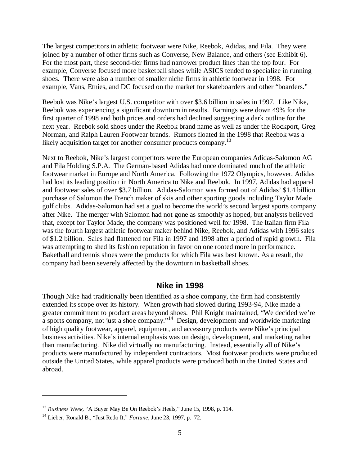The largest competitors in athletic footwear were Nike, Reebok, Adidas, and Fila. They were joined by a number of other firms such as Converse, New Balance, and others (see Exhibit 6). For the most part, these second-tier firms had narrower product lines than the top four. For example, Converse focused more basketball shoes while ASICS tended to specialize in running shoes. There were also a number of smaller niche firms in athletic footwear in 1998. For example, Vans, Etnies, and DC focused on the market for skateboarders and other "boarders."

Reebok was Nike's largest U.S. competitor with over \$3.6 billion in sales in 1997. Like Nike, Reebok was experiencing a significant downturn in results. Earnings were down 49% for the first quarter of 1998 and both prices and orders had declined suggesting a dark outline for the next year. Reebok sold shoes under the Reebok brand name as well as under the Rockport, Greg Norman, and Ralph Lauren Footwear brands. Rumors floated in the 1998 that Reebok was a likely acquisition target for another consumer products company.<sup>13</sup>

Next to Reebok, Nike's largest competitors were the European companies Adidas-Salomon AG and Fila Holding S.P.A. The German-based Adidas had once dominated much of the athletic footwear market in Europe and North America. Following the 1972 Olympics, however, Adidas had lost its leading position in North America to Nike and Reebok. In 1997, Adidas had apparel and footwear sales of over \$3.7 billion. Adidas-Salomon was formed out of Adidas' \$1.4 billion purchase of Salomon the French maker of skis and other sporting goods including Taylor Made golf clubs. Adidas-Salomon had set a goal to become the world's second largest sports company after Nike. The merger with Salomon had not gone as smoothly as hoped, but analysts believed that, except for Taylor Made, the company was positioned well for 1998. The Italian firm Fila was the fourth largest athletic footwear maker behind Nike, Reebok, and Adidas with 1996 sales of \$1.2 billion. Sales had flattened for Fila in 1997 and 1998 after a period of rapid growth. Fila was attempting to shed its fashion reputation in favor on one rooted more in performance. Baketball and tennis shoes were the products for which Fila was best known. As a result, the company had been severely affected by the downturn in basketball shoes.

#### **Nike in 1998**

Though Nike had traditionally been identified as a shoe company, the firm had consistently extended its scope over its history. When growth had slowed during 1993-94, Nike made a greater commitment to product areas beyond shoes. Phil Knight maintained, "We decided we're a sports company, not just a shoe company."<sup>14</sup> Design, development and worldwide marketing of high quality footwear, apparel, equipment, and accessory products were Nike's principal business activities. Nike's internal emphasis was on design, development, and marketing rather than manufacturing. Nike did virtually no manufacturing. Instead, essentially all of Nike's products were manufactured by independent contractors. Most footwear products were produced outside the United States, while apparel products were produced both in the United States and abroad.

<sup>13</sup> *Business Week*, "A Buyer May Be On Reebok's Heels," June 15, 1998, p. 114.

<sup>14</sup> Lieber, Ronald B., "Just Redo It," *Fortune*, June 23, 1997, p. 72.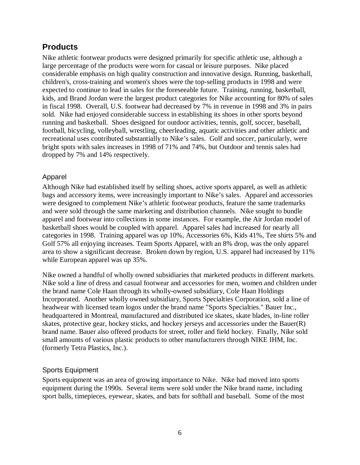# **Products**

Nike athletic footwear products were designed primarily for specific athletic use, although a large percentage of the products were worn for casual or leisure purposes. Nike placed considerable emphasis on high quality construction and innovative design. Running, basketball, children's, cross-training and women's shoes were the top-selling products in 1998 and were expected to continue to lead in sales for the foreseeable future. Training, running, basketball, kids, and Brand Jordan were the largest product categories for Nike accounting for 80% of sales in fiscal 1998. Overall, U.S. footwear had decreased by 7% in revenue in 1998 and 3% in pairs sold. Nike had enjoyed considerable success in establishing its shoes in other sports beyond running and basketball. Shoes designed for outdoor activities, tennis, golf, soccer, baseball, football, bicycling, volleyball, wrestling, cheerleading, aquatic activities and other athletic and recreational uses contributed substantially to Nike's sales. Golf and soccer, particularly, were bright spots with sales increases in 1998 of 71% and 74%, but Outdoor and tennis sales had dropped by 7% and 14% respectively.

## Apparel

Although Nike had established itself by selling shoes, active sports apparel, as well as athletic bags and accessory items, were increasingly important to Nike's sales. Apparel and accessories were designed to complement Nike's athletic footwear products, feature the same trademarks and were sold through the same marketing and distribution channels. Nike sought to bundle apparel and footwear into collections in some instances. For example, the Air Jordan model of basketball shoes would be coupled with apparel. Apparel sales had increased for nearly all categories in 1998. Training apparel was up 10%, Accessories 6%, Kids 41%, Tee shirts 5% and Golf 57% all enjoying increases. Team Sports Apparel, with an 8% drop, was the only apparel area to show a significant decrease. Broken down by region, U.S. apparel had increased by 11% while European apparel was up 35%.

Nike owned a handful of wholly owned subsidiaries that marketed products in different markets. Nike sold a line of dress and casual footwear and accessories for men, women and children under the brand name Cole Haan through its wholly-owned subsidiary, Cole Haan Holdings Incorporated. Another wholly owned subsidiary, Sports Specialties Corporation, sold a line of headwear with licensed team logos under the brand name "Sports Specialties." Bauer Inc., headquartered in Montreal, manufactured and distributed ice skates, skate blades, in-line roller skates, protective gear, hockey sticks, and hockey jerseys and accessories under the Bauer(R) brand name. Bauer also offered products for street, roller and field hockey. Finally, Nike sold small amounts of various plastic products to other manufacturers through NIKE IHM, Inc. (formerly Tetra Plastics, Inc.).

## Sports Equipment

Sports equipment was an area of growing importance to Nike. Nike had moved into sports equipment during the 1990s. Several items were sold under the Nike brand name, including sport balls, timepieces, eyewear, skates, and bats for softball and baseball. Some of the most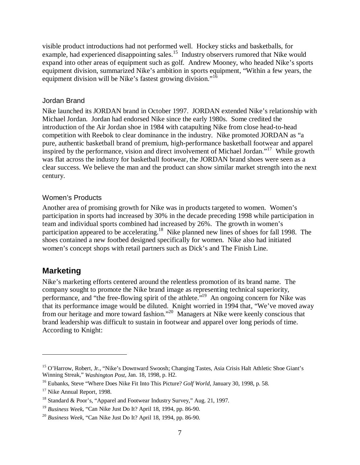visible product introductions had not performed well. Hockey sticks and basketballs, for example, had experienced disappointing sales.<sup>15</sup> Industry observers rumored that Nike would expand into other areas of equipment such as golf. Andrew Mooney, who headed Nike's sports equipment division, summarized Nike's ambition in sports equipment, "Within a few years, the equipment division will be Nike's fastest growing division."<sup>16</sup>

#### Jordan Brand

Nike launched its JORDAN brand in October 1997. JORDAN extended Nike's relationship with Michael Jordan. Jordan had endorsed Nike since the early 1980s. Some credited the introduction of the Air Jordan shoe in 1984 with catapulting Nike from close head-to-head competition with Reebok to clear dominance in the industry. Nike promoted JORDAN as "a pure, authentic basketball brand of premium, high-performance basketball footwear and apparel inspired by the performance, vision and direct involvement of Michael Jordan."<sup>17</sup> While growth was flat across the industry for basketball footwear, the JORDAN brand shoes were seen as a clear success. We believe the man and the product can show similar market strength into the next century.

#### Women's Products

Another area of promising growth for Nike was in products targeted to women. Women's participation in sports had increased by 30% in the decade preceding 1998 while participation in team and individual sports combined had increased by 26%. The growth in women's participation appeared to be accelerating.<sup>18</sup> Nike planned new lines of shoes for fall 1998. The shoes contained a new footbed designed specifically for women. Nike also had initiated women's concept shops with retail partners such as Dick's and The Finish Line.

## **Marketing**

 $\overline{a}$ 

Nike's marketing efforts centered around the relentless promotion of its brand name. The company sought to promote the Nike brand image as representing technical superiority, performance, and "the free-flowing spirit of the athlete."<sup>19</sup> An ongoing concern for Nike was that its performance image would be diluted. Knight worried in 1994 that, "We've moved away from our heritage and more toward fashion."20 Managers at Nike were keenly conscious that brand leadership was difficult to sustain in footwear and apparel over long periods of time. According to Knight:

<sup>&</sup>lt;sup>15</sup> O'Harrow, Robert, Jr., "Nike's Downward Swoosh; Changing Tastes, Asia Crisis Halt Athletic Shoe Giant's Winning Streak," *Washington Post*, Jan. 18, 1998, p. H2.

<sup>16</sup> Eubanks, Steve "Where Does Nike Fit Into This Picture? *Golf World*, January 30, 1998, p. 58.

<sup>&</sup>lt;sup>17</sup> Nike Annual Report, 1998.

<sup>&</sup>lt;sup>18</sup> Standard & Poor's, "Apparel and Footwear Industry Survey," Aug. 21, 1997.

<sup>19</sup> *Business Week*, "Can Nike Just Do It? April 18, 1994, pp. 86-90.

<sup>20</sup> *Business Week*, "Can Nike Just Do It? April 18, 1994, pp. 86-90.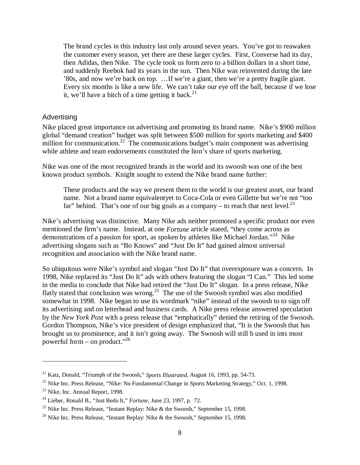The brand cycles in this industry last only around seven years. You've got to reawaken the customer every season, yet there are these larger cycles. First, Converse had its day, then Adidas, then Nike. The cycle took us form zero to a billion dollars in a short time, and suddenly Reebok had its years in the sun. Then Nike was reinvented during the late '80s, and now we're back on top. …If we're a giant, then we're a pretty fragile giant. Every six months is like a new life. We can't take our eye off the ball, because if we lose it, we'll have a bitch of a time getting it back.<sup>21</sup>

#### Advertising

Nike placed great importance on advertising and promoting its brand name. Nike's \$900 million global "demand creation" budget was split between \$500 million for sports marketing and \$400 million for communication.<sup>22</sup> The communications budget's main component was advertising while athlete and team endorsements constituted the lion's share of sports marketing.

Nike was one of the most recognized brands in the world and its swoosh was one of the best known product symbols. Knight sought to extend the Nike brand name further:

These products and the way we present them to the world is our greatest asset, our brand name. Not a brand name equivalentyet to Coca-Cola or even Gillette but we're not "too far" behind. That's one of our big goals as a company – to reach that next level.<sup>23</sup>

Nike's advertising was distinctive. Many Nike ads neither promoted a specific product nor even mentioned the firm's name. Instead, at one *Fortune* article stated, "they come across as demonstrations of a passion for sport, as spoken by athletes like Michael Jordan."<sup>24</sup> Nike advertising slogans such as "Bo Knows" and "Just Do It" had gained almost universal recognition and association with the Nike brand name.

So ubiquitous were Nike's symbol and slogan "Just Do It" that overexposure was a concern. In 1998, Nike replaced its "Just Do It" ads with others featuring the slogan "I Can." This led some in the media to conclude that Nike had retired the "Just Do It" slogan. In a press release, Nike flatly stated that conclusion was wrong.<sup>25</sup> The use of the Swoosh symbol was also modified somewhat in 1998. Nike began to use its wordmark "nike" instead of the swoosh to to sign off its advertising and on letterhead and business cards. A Nike press release answered speculation by the *New York Post* with a press release that "emphatically" denied the retiring of the Swoosh. Gordon Thompson, Nike's vice president of design emphasized that, "It is the Swoosh that has brought us to prominence, and it isn't going away. The Swoosh will still b used in ints most powerful form – on product."<sup>26</sup>

<sup>21</sup> Katz, Donald, "Triumph of the Swoosh," *Sports Illustrated*, August 16, 1993, pp. 54-73.

<sup>&</sup>lt;sup>22</sup> Nike Inc. Press Release, "Nike: No Fundamental Change in Sports Marketing Strategy," Oct. 1, 1998.

<sup>&</sup>lt;sup>23</sup> Nike, Inc. Annual Report, 1998.

<sup>24</sup> Lieber, Ronald B., "Just Redo It," *Fortune*, June 23, 1997, p. 72.

<sup>&</sup>lt;sup>25</sup> Nike Inc. Press Release, "Instant Replay: Nike & the Swoosh," September 15, 1998.

<sup>&</sup>lt;sup>26</sup> Nike Inc. Press Release, "Instant Replay: Nike & the Swoosh," September 15, 1998.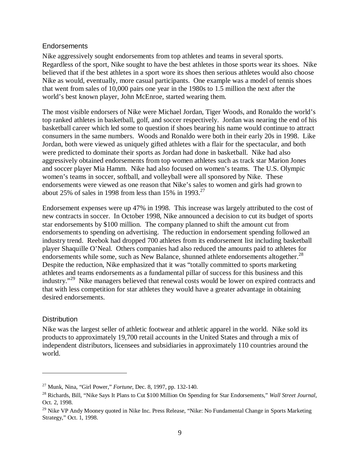#### **Endorsements**

Nike aggressively sought endorsements from top athletes and teams in several sports. Regardless of the sport, Nike sought to have the best athletes in those sports wear its shoes. Nike believed that if the best athletes in a sport wore its shoes then serious athletes would also choose Nike as would, eventually, more casual participants. One example was a model of tennis shoes that went from sales of 10,000 pairs one year in the 1980s to 1.5 million the next after the world's best known player, John McEnroe, started wearing them.

The most visible endorsers of Nike were Michael Jordan, Tiger Woods, and Ronaldo the world's top ranked athletes in basketball, golf, and soccer respectively. Jordan was nearing the end of his basketball career which led some to question if shoes bearing his name would continue to attract consumers in the same numbers. Woods and Ronaldo were both in their early 20s in 1998. Like Jordan, both were viewed as uniquely gifted athletes with a flair for the spectacular, and both were predicted to dominate their sports as Jordan had done in basketball. Nike had also aggressively obtained endorsements from top women athletes such as track star Marion Jones and soccer player Mia Hamm. Nike had also focused on women's teams. The U.S. Olympic women's teams in soccer, softball, and volleyball were all sponsored by Nike. These endorsements were viewed as one reason that Nike's sales to women and girls had grown to about 25% of sales in 1998 from less than 15% in 1993.<sup>27</sup>

Endorsement expenses were up 47% in 1998. This increase was largely attributed to the cost of new contracts in soccer. In October 1998, Nike announced a decision to cut its budget of sports star endorsements by \$100 million. The company planned to shift the amount cut from endorsements to spending on advertising. The reduction in endorsement spending followed an industry trend. Reebok had dropped 700 athletes from its endorsement list including basketball player Shaquille O'Neal. Others companies had also reduced the amounts paid to athletes for endorsements while some, such as New Balance, shunned athlete endorsements altogether.<sup>28</sup> Despite the reduction, Nike emphasized that it was "totally committed to sports marketing athletes and teams endorsements as a fundamental pillar of success for this business and this industry."<sup>29</sup> Nike managers believed that renewal costs would be lower on expired contracts and that with less competition for star athletes they would have a greater advantage in obtaining desired endorsements.

#### **Distribution**

 $\overline{a}$ 

Nike was the largest seller of athletic footwear and athletic apparel in the world. Nike sold its products to approximately 19,700 retail accounts in the United States and through a mix of independent distributors, licensees and subsidiaries in approximately 110 countries around the world.

<sup>27</sup> Munk, Nina, "Girl Power," *Fortune*, Dec. 8, 1997, pp. 132-140.

<sup>28</sup> Richards, Bill, "Nike Says It Plans to Cut \$100 Million On Spending for Star Endorsements," *Wall Street Journal*, Oct. 2, 1998.

<sup>&</sup>lt;sup>29</sup> Nike VP Andy Mooney quoted in Nike Inc. Press Release, "Nike: No Fundamental Change in Sports Marketing Strategy," Oct. 1, 1998.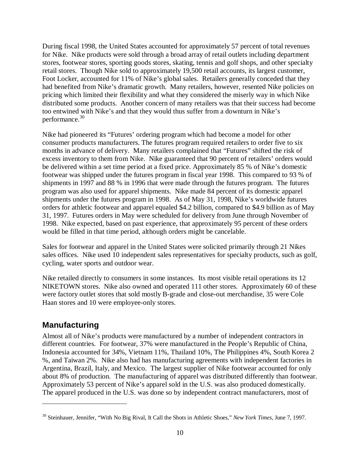During fiscal 1998, the United States accounted for approximately 57 percent of total revenues for Nike. Nike products were sold through a broad array of retail outlets including department stores, footwear stores, sporting goods stores, skating, tennis and golf shops, and other specialty retail stores. Though Nike sold to approximately 19,500 retail accounts, its largest customer, Foot Locker, accounted for 11% of Nike's global sales. Retailers generally conceded that they had benefited from Nike's dramatic growth. Many retailers, however, resented Nike policies on pricing which limited their flexibility and what they considered the miserly way in which Nike distributed some products. Another concern of many retailers was that their success had become too entwined with Nike's and that they would thus suffer from a downturn in Nike's performance.<sup>30</sup>

Nike had pioneered its "Futures' ordering program which had become a model for other consumer products manufacturers. The futures program required retailers to order five to six months in advance of delivery. Many retailers complained that "Futures" shifted the risk of excess inventory to them from Nike. Nike guaranteed that 90 percent of retailers' orders would be delivered within a set time period at a fixed price. Approximately 85 % of Nike's domestic footwear was shipped under the futures program in fiscal year 1998. This compared to 93 % of shipments in 1997 and 88 % in 1996 that were made through the futures program. The futures program was also used for apparel shipments. Nike made 84 percent of its domestic apparel shipments under the futures program in 1998. As of May 31, 1998, Nike's worldwide futures orders for athletic footwear and apparel equaled \$4.2 billion, compared to \$4.9 billion as of May 31, 1997. Futures orders in May were scheduled for delivery from June through November of 1998. Nike expected, based on past experience, that approximately 95 percent of these orders would be filled in that time period, although orders might be cancelable.

Sales for footwear and apparel in the United States were solicited primarily through 21 Nikes sales offices. Nike used 10 independent sales representatives for specialty products, such as golf, cycling, water sports and outdoor wear.

Nike retailed directly to consumers in some instances. Its most visible retail operations its 12 NIKETOWN stores. Nike also owned and operated 111 other stores. Approximately 60 of these were factory outlet stores that sold mostly B-grade and close-out merchandise, 35 were Cole Haan stores and 10 were employee-only stores.

# **Manufacturing**

 $\overline{a}$ 

Almost all of Nike's products were manufactured by a number of independent contractors in different countries. For footwear, 37% were manufactured in the People's Republic of China, Indonesia accounted for 34%, Vietnam 11%, Thailand 10%, The Philippines 4%, South Korea 2 %, and Taiwan 2%. Nike also had has manufacturing agreements with independent factories in Argentina, Brazil, Italy, and Mexico. The largest supplier of Nike footwear accounted for only about 8% of production. The manufacturing of apparel was distributed differently than footwear. Approximately 53 percent of Nike's apparel sold in the U.S. was also produced domestically. The apparel produced in the U.S. was done so by independent contract manufacturers, most of

<sup>30</sup> Steinhauer, Jennifer, "With No Big Rival, It Call the Shots in Athletic Shoes," *New York Times*, June 7, 1997.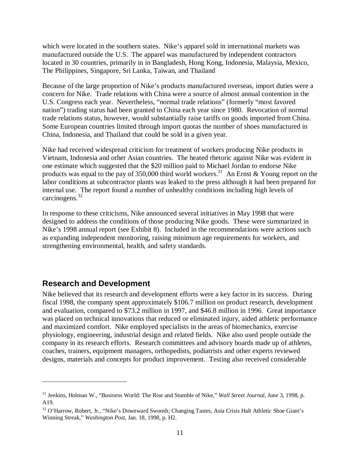which were located in the southern states. Nike's apparel sold in international markets was manufactured outside the U.S. The apparel was manufactured by independent contractors located in 30 countries, primarily in in Bangladesh, Hong Kong, Indonesia, Malaysia, Mexico, The Philippines, Singapore, Sri Lanka, Taiwan, and Thailand

Because of the large proportion of Nike's products manufactured overseas, import duties were a concern for Nike. Trade relations with China were a source of almost annual contention in the U.S. Congress each year. Nevertheless, "normal trade relations" (formerly "most favored nation") trading status had been granted to China each year since 1980. Revocation of normal trade relations status, however, would substantially raise tariffs on goods imported from China. Some European countries limited through import quotas the number of shoes manufactured in China, Indonesia, and Thailand that could be sold in a given year.

Nike had received widespread criticism for treatment of workers producing Nike products in Vietnam, Indonesia and other Asian countries. The heated rhetoric against Nike was evident in one estimate which suggested that the \$20 million paid to Michael Jordan to endorse Nike products was equal to the pay of 350,000 third world workers.<sup>31</sup> An Ernst & Young report on the labor conditions at subcontractor plants was leaked to the press although it had been prepared for internal use. The report found a number of unhealthy conditions including high levels of carcinogens.<sup>32</sup>

In response to these criticisms, Nike announced several initiatives in May 1998 that were designed to address the conditions of those producing Nike goods. These were summarized in Nike's 1998 annual report (see Exhibit 8). Included in the recommendations were actions such as expanding independent monitoring, raising minimum age requirements for workers, and strengthening environmental, health, and safety standards.

## **Research and Development**

 $\overline{a}$ 

Nike believed that its research and development efforts were a key factor in its success. During fiscal 1998, the company spent approximately \$106.7 million on product research, development and evaluation, compared to \$73.2 million in 1997, and \$46.8 million in 1996. Great importance was placed on technical innovations that reduced or eliminated injury, aided athletic performance and maximized comfort. Nike employed specialists in the areas of biomechanics, exercise physiology, engineering, industrial design and related fields. Nike also used people outside the company in its research efforts. Research committees and advisory boards made up of athletes, coaches, trainers, equipment managers, orthopedists, podiatrists and other experts reviewed designs, materials and concepts for product improvement. Testing also received considerable

<sup>31</sup> Jenkins, Holman W., "Business World: The Rise and Stumble of Nike," *Wall Street Journal*, June 3, 1998, p. A19.

<sup>&</sup>lt;sup>32</sup> O'Harrow, Robert, Jr., "Nike's Downward Swoosh; Changing Tastes, Asia Crisis Halt Athletic Shoe Giant's Winning Streak," *Washington Post*, Jan. 18, 1998, p. H2.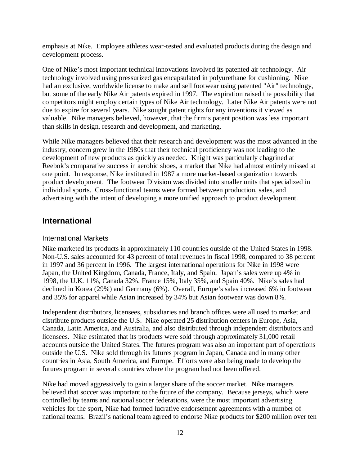emphasis at Nike. Employee athletes wear-tested and evaluated products during the design and development process.

One of Nike's most important technical innovations involved its patented air technology. Air technology involved using pressurized gas encapsulated in polyurethane for cushioning. Nike had an exclusive, worldwide license to make and sell footwear using patented "Air" technology, but some of the early Nike Air patents expired in 1997. The expiration raised the possibility that competitors might employ certain types of Nike Air technology. Later Nike Air patents were not due to expire for several years. Nike sought patent rights for any inventions it viewed as valuable. Nike managers believed, however, that the firm's patent position was less important than skills in design, research and development, and marketing.

While Nike managers believed that their research and development was the most advanced in the industry, concern grew in the 1980s that their technical proficiency was not leading to the development of new products as quickly as needed. Knight was particularly chagrined at Reebok's comparative success in aerobic shoes, a market that Nike had almost entirely missed at one point. In response, Nike instituted in 1987 a more market-based organization towards product development. The footwear Division was divided into smaller units that specialized in individual sports. Cross-functional teams were formed between production, sales, and advertising with the intent of developing a more unified approach to product development.

# **International**

#### International Markets

Nike marketed its products in approximately 110 countries outside of the United States in 1998. Non-U.S. sales accounted for 43 percent of total revenues in fiscal 1998, compared to 38 percent in 1997 and 36 percent in 1996. The largest international operations for Nike in 1998 were Japan, the United Kingdom, Canada, France, Italy, and Spain. Japan's sales were up 4% in 1998, the U.K. 11%, Canada 32%, France 15%, Italy 35%, and Spain 40%. Nike's sales had declined in Korea (29%) and Germany (6%). Overall, Europe's sales increased 6% in footwear and 35% for apparel while Asian increased by 34% but Asian footwear was down 8%.

Independent distributors, licensees, subsidiaries and branch offices were all used to market and distribute products outside the U.S. Nike operated 25 distribution centers in Europe, Asia, Canada, Latin America, and Australia, and also distributed through independent distributors and licensees. Nike estimated that its products were sold through approximately 31,000 retail accounts outside the United States. The futures program was also an important part of operations outside the U.S. Nike sold through its futures program in Japan, Canada and in many other countries in Asia, South America, and Europe. Efforts were also being made to develop the futures program in several countries where the program had not been offered.

Nike had moved aggressively to gain a larger share of the soccer market. Nike managers believed that soccer was important to the future of the company. Because jerseys, which were controlled by teams and national soccer federations, were the most important advertising vehicles for the sport, Nike had formed lucrative endorsement agreements with a number of national teams. Brazil's national team agreed to endorse Nike products for \$200 million over ten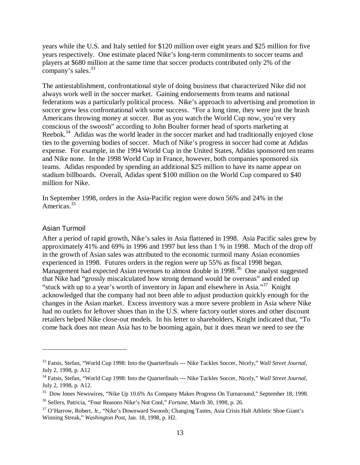years while the U.S. and Italy settled for \$120 million over eight years and \$25 million for five years respectively. One estimate placed Nike's long-term commitments to soccer teams and players at \$680 million at the same time that soccer products contributed only 2% of the company's sales.<sup>33</sup>

The antiestablishment, confrontational style of doing business that characterized Nike did not always work well in the soccer market. Gaining endorsements from teams and national federations was a particularly political process. Nike's approach to advertising and promotion in soccer grew less confrontational with some success. "For a long time, they were just the brash Americans throwing money at soccer. But as you watch the World Cup now, you're very conscious of the swoosh" according to John Boulter former head of sports marketing at Reebok.<sup>34</sup> Adidas was the world leader in the soccer market and had traditionally enjoyed close ties to the governing bodies of soccer. Much of Nike's progress in soccer had come at Adidas expense. For example, in the 1994 World Cup in the United States, Adidas sponsored ten teams and Nike none. In the 1998 World Cup in France, however, both companies sponsored six teams. Adidas responded by spending an additional \$25 million to have its name appear on stadium billboards. Overall, Adidas spent \$100 million on the World Cup compared to \$40 million for Nike.

In September 1998, orders in the Asia-Pacific region were down 56% and 24% in the Americas.<sup>35</sup>

#### Asian Turmoil

 $\overline{a}$ 

After a period of rapid growth, Nike's sales in Asia flattened in 1998. Asia Pacific sales grew by approximately 41% and 69% in 1996 and 1997 but less than 1 % in 1998. Much of the drop off in the growth of Asian sales was attributed to the economic turmoil many Asian economies experienced in 1998. Futures orders in the region were up 55% as fiscal 1998 began. Management had expected Asian revenues to almost double in 1998.<sup>36</sup> One analyst suggested that Nike had "grossly miscalculated how strong demand would be overseas" and ended up "stuck with up to a year's worth of inventory in Japan and elsewhere in Asia."37 Knight acknowledged that the company had not been able to adjust production quickly enough for the changes in the Asian market. Excess inventory was a more severe problem in Asia where Nike had no outlets for leftover shoes than in the U.S. where factory outlet stores and other discount retailers helped Nike close-out models. In his letter to shareholders, Knight indicated that, "To come back does not mean Asia has to be booming again, but it does mean we need to see the

<sup>33</sup> Fatsis, Stefan, "World Cup 1998: Into the Quarterfinals --- Nike Tackles Soccer, Nicely," *Wall Street Journal*, July 2, 1998, p. A12

<sup>34</sup> Fatsis, Stefan, "World Cup 1998: Into the Quarterfinals --- Nike Tackles Soccer, Nicely," *Wall Street Journal*, July 2, 1998, p. A12.

<sup>&</sup>lt;sup>35</sup> Dow Jones Newswires, "Nike Up 10.6% As Company Makes Progress On Turnaround," September 18, 1998.

<sup>36</sup> Sellers, Patricia, "Four Reasons Nike's Not Cool," *Fortune*, March 30, 1998, p. 26.

<sup>&</sup>lt;sup>37</sup> O'Harrow, Robert, Jr., "Nike's Downward Swoosh; Changing Tastes, Asia Crisis Halt Athletic Shoe Giant's Winning Streak," *Washington Post*, Jan. 18, 1998, p. H2.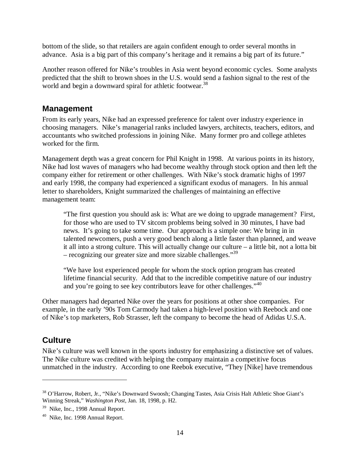bottom of the slide, so that retailers are again confident enough to order several months in advance. Asia is a big part of this company's heritage and it remains a big part of its future."

Another reason offered for Nike's troubles in Asia went beyond economic cycles. Some analysts predicted that the shift to brown shoes in the U.S. would send a fashion signal to the rest of the world and begin a downward spiral for athletic footwear.<sup>38</sup>

## **Management**

From its early years, Nike had an expressed preference for talent over industry experience in choosing managers. Nike's managerial ranks included lawyers, architects, teachers, editors, and accountants who switched professions in joining Nike. Many former pro and college athletes worked for the firm.

Management depth was a great concern for Phil Knight in 1998. At various points in its history, Nike had lost waves of managers who had become wealthy through stock option and then left the company either for retirement or other challenges. With Nike's stock dramatic highs of 1997 and early 1998, the company had experienced a significant exodus of managers. In his annual letter to shareholders, Knight summarized the challenges of maintaining an effective management team:

"The first question you should ask is: What are we doing to upgrade management? First, for those who are used to TV sitcom problems being solved in 30 minutes, I have bad news. It's going to take some time. Our approach is a simple one: We bring in in talented newcomers, push a very good bench along a little faster than planned, and weave it all into a strong culture. This will actually change our culture – a little bit, not a lotta bit – recognizing our greater size and more sizable challenges."<sup>39</sup>

"We have lost experienced people for whom the stock option program has created lifetime financial security. Add that to the incredible competitive nature of our industry and you're going to see key contributors leave for other challenges."<sup>40</sup>

Other managers had departed Nike over the years for positions at other shoe companies. For example, in the early '90s Tom Carmody had taken a high-level position with Reebock and one of Nike's top marketers, Rob Strasser, left the company to become the head of Adidas U.S.A.

# **Culture**

 $\overline{a}$ 

Nike's culture was well known in the sports industry for emphasizing a distinctive set of values. The Nike culture was credited with helping the company maintain a competitive focus unmatched in the industry. According to one Reebok executive, "They [Nike] have tremendous

<sup>&</sup>lt;sup>38</sup> O'Harrow, Robert, Jr., "Nike's Downward Swoosh; Changing Tastes, Asia Crisis Halt Athletic Shoe Giant's Winning Streak," *Washington Post*, Jan. 18, 1998, p. H2.

<sup>&</sup>lt;sup>39</sup> Nike, Inc., 1998 Annual Report.

<sup>40</sup> Nike, Inc. 1998 Annual Report.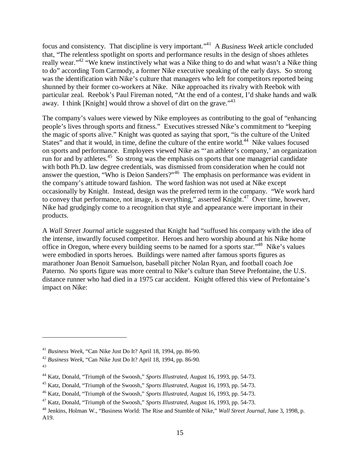focus and consistency. That discipline is very important."41 A *Business Week* article concluded that, "The relentless spotlight on sports and performance results in the design of shoes athletes really wear."<sup>42</sup> "We knew instinctively what was a Nike thing to do and what wasn't a Nike thing to do" according Tom Carmody, a former Nike executive speaking of the early days. So strong was the identification with Nike's culture that managers who left for competitors reported being shunned by their former co-workers at Nike. Nike approached its rivalry with Reebok with particular zeal. Reebok's Paul Fireman noted, "At the end of a contest, I'd shake hands and walk away. I think [Knight] would throw a shovel of dirt on the grave."<sup>43</sup>

The company's values were viewed by Nike employees as contributing to the goal of "enhancing people's lives through sports and fitness." Executives stressed Nike's commitment to "keeping the magic of sports alive." Knight was quoted as saying that sport, "is the culture of the United States" and that it would, in time, define the culture of the entire world.<sup>44</sup> Nike values focused on sports and performance. Employees viewed Nike as "'an athlete's company,' an organization run for and by athletes.<sup>45</sup> So strong was the emphasis on sports that one managerial candidate with both Ph.D. law degree credentials, was dismissed from consideration when he could not answer the question, "Who is Deion Sanders?"46 The emphasis on performance was evident in the company's attitude toward fashion. The word fashion was not used at Nike except occasionally by Knight. Instead, design was the preferred term in the company. "We work hard to convey that performance, not image, is everything," asserted Knight. $47$  Over time, however, Nike had grudgingly come to a recognition that style and appearance were important in their products.

A *Wall Street Journal* article suggested that Knight had "suffused his company with the idea of the intense, inwardly focused competitor. Heroes and hero worship abound at his Nike home office in Oregon, where every building seems to be named for a sports star."48 Nike's values were embodied in sports heroes. Buildings were named after famous sports figures as marathoner Joan Benoit Samuelson, baseball pitcher Nolan Ryan, and football coach Joe Paterno. No sports figure was more central to Nike's culture than Steve Prefontaine, the U.S. distance runner who had died in a 1975 car accident. Knight offered this view of Prefontaine's impact on Nike:

<sup>41</sup> *Business Week*, "Can Nike Just Do It? April 18, 1994, pp. 86-90.

<sup>42</sup> *Business Week*, "Can Nike Just Do It? April 18, 1994, pp. 86-90.

<sup>43</sup>

<sup>44</sup> Katz, Donald, "Triumph of the Swoosh," *Sports Illustrated*, August 16, 1993, pp. 54-73.

<sup>45</sup> Katz, Donald, "Triumph of the Swoosh," *Sports Illustrated*, August 16, 1993, pp. 54-73.

<sup>46</sup> Katz, Donald, "Triumph of the Swoosh," *Sports Illustrated*, August 16, 1993, pp. 54-73.

<sup>47</sup> Katz, Donald, "Triumph of the Swoosh," *Sports Illustrated*, August 16, 1993, pp. 54-73.

<sup>48</sup> Jenkins, Holman W., "Business World: The Rise and Stumble of Nike," *Wall Street Journal*, June 3, 1998, p. A19.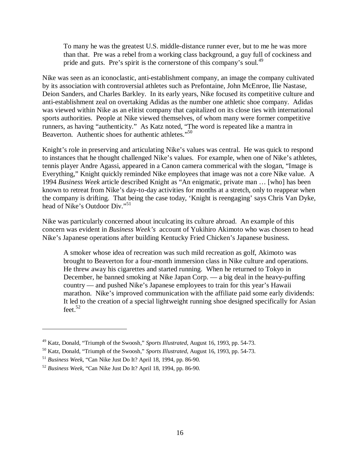To many he was the greatest U.S. middle-distance runner ever, but to me he was more than that. Pre was a rebel from a working class background, a guy full of cockiness and pride and guts. Pre's spirit is the cornerstone of this company's soul.<sup>49</sup>

Nike was seen as an iconoclastic, anti-establishment company, an image the company cultivated by its association with controversial athletes such as Prefontaine, John McEnroe, Ilie Nastase, Deion Sanders, and Charles Barkley. In its early years, Nike focused its competitive culture and anti-establishment zeal on overtaking Adidas as the number one athletic shoe company. Adidas was viewed within Nike as an elitist company that capitalized on its close ties with international sports authorities. People at Nike viewed themselves, of whom many were former competitive runners, as having "authenticity." As Katz noted, "The word is repeated like a mantra in Beaverton. Authentic shoes for authentic athletes."<sup>50</sup>

Knight's role in preserving and articulating Nike's values was central. He was quick to respond to instances that he thought challenged Nike's values. For example, when one of Nike's athletes, tennis player Andre Agassi, appeared in a Canon camera commerical with the slogan, "Image is Everything," Knight quickly reminded Nike employees that image was not a core Nike value. A 1994 *Business Week* article described Knight as "An enigmatic, private man … [who] has been known to retreat from Nike's day-to-day activities for months at a stretch, only to reappear when the company is drifting. That being the case today, 'Knight is reengaging' says Chris Van Dyke, head of Nike's Outdoor Div."<sup>51</sup>

Nike was particularly concerned about inculcating its culture abroad. An example of this concern was evident in *Business Week's* account of Yukihiro Akimoto who was chosen to head Nike's Japanese operations after building Kentucky Fried Chicken's Japanese business.

A smoker whose idea of recreation was such mild recreation as golf, Akimoto was brought to Beaverton for a four-month immersion class in Nike culture and operations. He threw away his cigarettes and started running. When he returned to Tokyo in December, he banned smoking at Nike Japan Corp. — a big deal in the heavy-puffing country — and pushed Nike's Japanese employees to train for this year's Hawaii marathon. Nike's improved communication with the affiliate paid some early dividends: It led to the creation of a special lightweight running shoe designed specifically for Asian feet. $52$ 

<sup>49</sup> Katz, Donald, "Triumph of the Swoosh," *Sports Illustrated*, August 16, 1993, pp. 54-73.

<sup>50</sup> Katz, Donald, "Triumph of the Swoosh," *Sports Illustrated*, August 16, 1993, pp. 54-73.

<sup>51</sup> *Business Week*, "Can Nike Just Do It? April 18, 1994, pp. 86-90.

<sup>52</sup> *Business Week*, "Can Nike Just Do It? April 18, 1994, pp. 86-90.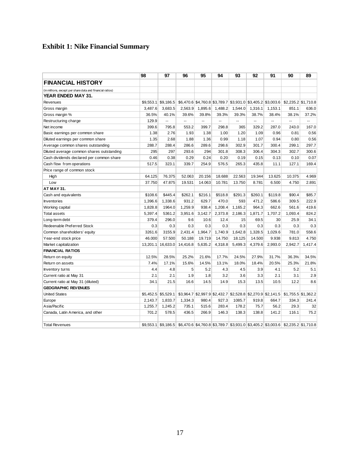# **Exhibit 1: Nike Financial Summary**

|                                                          | 98        | 97                  | 96                                                                                                  | 95      | 94      | 93      | 92      | 91      | 90                                                                                      | 89      |
|----------------------------------------------------------|-----------|---------------------|-----------------------------------------------------------------------------------------------------|---------|---------|---------|---------|---------|-----------------------------------------------------------------------------------------|---------|
| <b>FINANCIAL HISTORY</b>                                 |           |                     |                                                                                                     |         |         |         |         |         |                                                                                         |         |
| (in millions, except per sharedata and financial ratios) |           |                     |                                                                                                     |         |         |         |         |         |                                                                                         |         |
| YEAR ENDED MAY 31.                                       |           |                     |                                                                                                     |         |         |         |         |         |                                                                                         |         |
| Revenues                                                 | \$9.553.1 | \$9,186.5           |                                                                                                     |         |         |         |         |         | \$6,470.6 \$4,760.8 \$3,789.7 \$3,931.0 \$3,405.2 \$3,003.6 \$2,235.2 \$1,710.8         |         |
| Gross margin                                             | 3,487.6   | 3,683.5             | 2,563.9                                                                                             | 1,895.6 | 1,488.2 | 1,544.0 | 1,316.1 | 1,153.1 | 851.1                                                                                   | 636.0   |
| Gross margin %                                           | 36.5%     | 40.1%               | 39.6%                                                                                               | 39.8%   | 39.3%   | 39.3%   | 38.7%   | 38.4%   | 38.1%                                                                                   | 37.2%   |
| Restructuring charge                                     | 129.9     | L.                  | $\overline{a}$                                                                                      | L.      | u.      | Ξ.      | $\sim$  | u.      | $\overline{a}$                                                                          | u.      |
| Net income                                               | 399.6     | 795.8               | 553.2                                                                                               | 399.7   | 298.8   | 365     | 329.2   | 287.0   | 243.0                                                                                   | 167.0   |
| Basic earnings per common share                          | 1.38      | 2.76                | 1.93                                                                                                | 1.38    | 1.00    | 1.20    | 1.09    | 0.96    | 0.81                                                                                    | 0.56    |
| Diluted earnings per common share                        | 1.35      | 2.68                | 1.88                                                                                                | 1.36    | 0.99    | 1.18    | 1.07    | 0.94    | 0.80                                                                                    | 0.56    |
| Average common shares outstanding                        | 288.7     | 288.4               | 286.6                                                                                               | 289.6   | 298.6   | 302.9   | 301.7   | 300.4   | 299.1                                                                                   | 297.7   |
| Diluted average common shares outstanding                | 295       | 297                 | 293.6                                                                                               | 294     | 301.8   | 308.3   | 306.4   | 304.3   | 302.7                                                                                   | 300.6   |
| Cash dividends declared per common share                 | 0.46      | 0.38                | 0.29                                                                                                | 0.24    | 0.20    | 0.19    | 0.15    | 0.13    | 0.10                                                                                    | 0.07    |
| Cash flow from operations                                | 517.5     | 323.1               | 339.7                                                                                               | 254.9   | 576.5   | 265.3   | 435.8   | 11.1    | 127.1                                                                                   | 169.4   |
| Price range of common stock                              |           |                     |                                                                                                     |         |         |         |         |         |                                                                                         |         |
| High                                                     | 64.125    | 76.375              | 52.063                                                                                              | 20.156  | 18.688  | 22.563  | 19.344  | 13.625  | 10.375                                                                                  | 4.969   |
| Low                                                      | 37.750    | 47.875              | 19.531                                                                                              | 14.063  | 10.781  | 13.750  | 8.781   | 6.500   | 4.750                                                                                   | 2.891   |
| <b>AT MAY 31.</b>                                        |           |                     |                                                                                                     |         |         |         |         |         |                                                                                         |         |
| Cash and equivalents                                     | \$108.6   | \$445.4             | \$262.1                                                                                             | \$216.1 | \$518.8 | \$291.3 | \$260.1 | \$119.8 | \$90.4                                                                                  | \$85.7  |
| <b>Inventories</b>                                       | 1,396.6   | 1,338.6             | 931.2                                                                                               | 629.7   | 470.0   | 593     | 471.2   | 586.6   | 309.5                                                                                   | 222.9   |
| Working capital                                          | 1,828.8   | 1964.0              | 1,259.9                                                                                             | 938.4   | 1,208.4 | 1,165.2 | 964.3   | 662.6   | 561.6                                                                                   | 419.6   |
| <b>Total assets</b>                                      | 5,397.4   | 5361.2              | 3,951.6                                                                                             | 3,142.7 | 2,373.8 | 2,186.3 | 1,871.7 | 1,707.2 | 1,093.4                                                                                 | 824.2   |
| Long-term debt                                           | 379.4     | 296.0               | 9.6                                                                                                 | 10.6    | 12.4    | 15      | 69.5    | 30      | 25.9                                                                                    | 34.1    |
| Redeenable Preferred Stock                               | 0.3       | 0.3                 | 0.3                                                                                                 | 0.3     | 0.3     | 0.3     | 0.3     | 0.3     | 0.3                                                                                     | 0.3     |
| Common shareholders' equity                              | 3261.6    | 3155.9              | 2,431.4                                                                                             | 1,964.7 | 1,740.9 | 1,642.8 | 1,328.5 | 1,029.6 | 781.0                                                                                   | 558.6   |
| Year-end stock price                                     | 46.000    | 57.500              | 50.188                                                                                              | 19.719  | 14.750  | 18.125  | 14.500  | 9.938   | 9.813                                                                                   | 4.750   |
| Market capitalization                                    | 13,201.1  | 16,633.0            | 14,416.8                                                                                            | 5,635.2 | 4,318.8 | 5,499.3 | 4,379.6 | 2,993.0 | 2,942.7                                                                                 | 1,417.4 |
| <b>FINANCIAL RATIOS</b>                                  |           |                     |                                                                                                     |         |         |         |         |         |                                                                                         |         |
| Return on equity                                         | 12.5%     | 28.5%               | 25.2%                                                                                               | 21.6%   | 17.7%   | 24.5%   | 27.9%   | 31.7%   | 36.3%                                                                                   | 34.5%   |
| Return on assets                                         | 7.4%      | 17.1%               | 15.6%                                                                                               | 14.5%   | 13.1%   | 18.0%   | 18.4%   | 20.5%   | 25.3%                                                                                   | 21.8%   |
| Inventory turns                                          | 4.4       | 4.8                 | 5                                                                                                   | 5.2     | 4.3     | 4.5     | 3.9     | 4.1     | 5.2                                                                                     | 5.1     |
| Current ratio at May 31                                  | 2.1       | 2.1                 | 1.9                                                                                                 | 1.8     | 3.2     | 3.6     | 3.3     | 2.1     | 3.1                                                                                     | 2.9     |
| Current ratio at May 31 (diluted)                        | 34.1      | 21.5                | 16.6                                                                                                | 14.5    | 14.9    | 15.3    | 13.5    | 10.5    | 12.2                                                                                    | 8.6     |
| <b>GEOGRAPHIC REVENUES</b>                               |           |                     |                                                                                                     |         |         |         |         |         |                                                                                         |         |
| <b>United States</b>                                     |           | \$5,452.5 \$5,529.1 |                                                                                                     |         |         |         |         |         | $$3,964.7$ $$2,997.9$ $$2,432.7$ $$2,528.8$ $$2,270.9$ $$2,141.5$ $$1,755.5$ $$1,362.2$ |         |
| Europe                                                   | 2,143.7   | 1,833.7             | 1,334.3                                                                                             | 980.4   | 927.3   | 1085.7  | 919.8   | 664.7   | 334.3                                                                                   | 241.4   |
| Asia/Pacific                                             | 1,255.7   | 1,245.2             | 735.1                                                                                               | 515.6   | 283.4   | 178.2   | 75.7    | 56.2    | 29.3                                                                                    | 32      |
| Canada, Latin America, and other                         | 701.2     | 578.5               | 436.5                                                                                               | 266.9   | 146.3   | 138.3   | 138.8   | 141.2   | 116.1                                                                                   | 75.2    |
|                                                          |           |                     |                                                                                                     |         |         |         |         |         |                                                                                         |         |
| <b>Total Revenues</b>                                    |           |                     | \$9,553.1 \$9,186.5 \$6,470.6 \$4,760.8 \$3,789.7 \$3,931.0 \$3,405.2 \$3,003.6 \$2,235.2 \$1,710.8 |         |         |         |         |         |                                                                                         |         |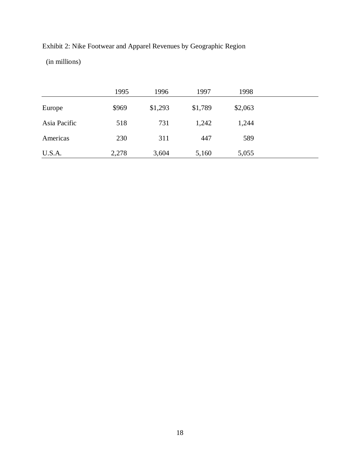Exhibit 2: Nike Footwear and Apparel Revenues by Geographic Region (in millions)

|              | 1995  | 1996    | 1997    | 1998    |
|--------------|-------|---------|---------|---------|
| Europe       | \$969 | \$1,293 | \$1,789 | \$2,063 |
| Asia Pacific | 518   | 731     | 1,242   | 1,244   |
| Americas     | 230   | 311     | 447     | 589     |
| U.S.A.       | 2,278 | 3,604   | 5,160   | 5,055   |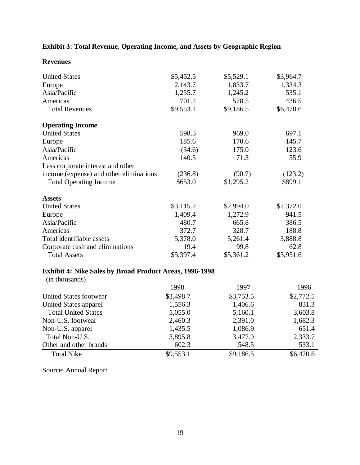# **Exhibit 3: Total Revenue, Operating Income, and Assets by Geographic Region**

| <b>Revenues</b> |
|-----------------|
|-----------------|

| <b>United States</b>                    | \$5,452.5 | \$5,529.1 | \$3,964.7 |
|-----------------------------------------|-----------|-----------|-----------|
| Europe                                  | 2,143.7   | 1,833.7   | 1,334.3   |
| Asia/Pacific                            | 1,255.7   | 1,245.2   | 535.1     |
| Americas                                | 701.2     | 578.5     | 436.5     |
| <b>Total Revenues</b>                   | \$9,553.1 | \$9,186.5 | \$6,470.6 |
| <b>Operating Income</b>                 |           |           |           |
| <b>United States</b>                    | 598.3     | 969.0     | 697.1     |
| Europe                                  | 185.6     | 170.6     | 145.7     |
| Asia/Pacific                            | (34.6)    | 175.0     | 123.6     |
| Americas                                | 140.5     | 71.3      | 55.9      |
| Less corporate interest and other       |           |           |           |
| income (expense) and other eliminations | (236.8)   | (90.7)    | (123.2)   |
| <b>Total Operating Income</b>           | \$653.0   | \$1,295.2 | \$899.1   |
| <b>Assets</b>                           |           |           |           |
| <b>United States</b>                    | \$3,115.2 | \$2,994.0 | \$2,372.0 |
| Europe                                  | 1,409.4   | 1,272.9   | 941.5     |
| Asia/Pacific                            | 480.7     | 665.8     | 386.5     |
| Americas                                | 372.7     | 328.7     | 188.8     |
| Total identifiable assets               | 5,378.0   | 5,261.4   | 3,888.8   |
| Corporate cash and eliminations         | 19.4      | 99.8      | 62.8      |
| <b>Total Assets</b>                     | \$5,397.4 | \$5,361.2 | \$3,951.6 |

## **Exhibit 4: Nike Sales by Broad Product Areas, 1996-1998**

(in thousands)

|                            | 1998      | 1997      | 1996      |
|----------------------------|-----------|-----------|-----------|
| United States footwear     | \$3,498.7 | \$3,753.5 | \$2,772.5 |
| United States apparel      | 1,556.3   | 1,406.6   | 831.3     |
| <b>Total United States</b> | 5,055.0   | 5,160.1   | 3,603.8   |
| Non-U.S. footwear          | 2,460.3   | 2,391.0   | 1,682.3   |
| Non-U.S. apparel           | 1,435.5   | 1,086.9   | 651.4     |
| Total Non-U.S.             | 3,895.8   | 3,477.9   | 2,333.7   |
| Other and other brands     | 602.3     | 548.5     | 533.1     |
| <b>Total Nike</b>          | \$9,553.1 | \$9,186.5 | \$6,470.6 |

Source: Annual Report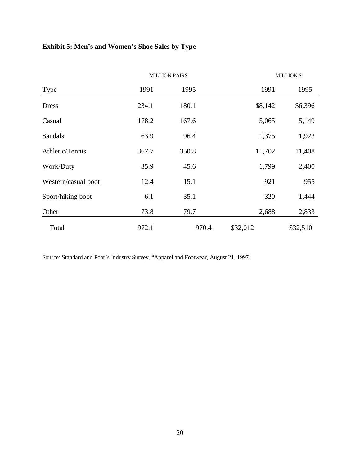# **Exhibit 5: Men's and Women's Shoe Sales by Type**

|                     |       | <b>MILLION PAIRS</b> |          | <b>MILLION \$</b> |
|---------------------|-------|----------------------|----------|-------------------|
| <b>Type</b>         | 1991  | 1995                 | 1991     | 1995              |
| <b>Dress</b>        | 234.1 | 180.1                | \$8,142  | \$6,396           |
| Casual              | 178.2 | 167.6                | 5,065    | 5,149             |
| Sandals             | 63.9  | 96.4                 | 1,375    | 1,923             |
| Athletic/Tennis     | 367.7 | 350.8                | 11,702   | 11,408            |
| Work/Duty           | 35.9  | 45.6                 | 1,799    | 2,400             |
| Western/casual boot | 12.4  | 15.1                 | 921      | 955               |
| Sport/hiking boot   | 6.1   | 35.1                 | 320      | 1,444             |
| Other               | 73.8  | 79.7                 | 2,688    | 2,833             |
| Total               | 972.1 | 970.4                | \$32,012 | \$32,510          |

Source: Standard and Poor's Industry Survey, "Apparel and Footwear, August 21, 1997.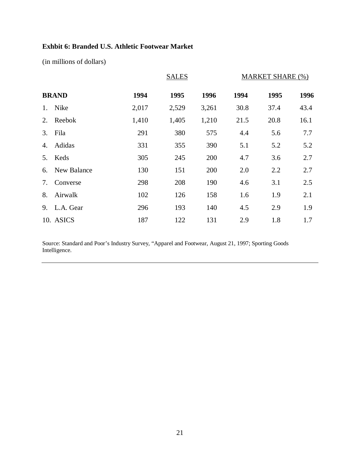## **Exhbit 6: Branded U.S. Athletic Footwear Market**

(in millions of dollars)

|    |              |       | <b>SALES</b> |       |      | <b>MARKET SHARE (%)</b> |      |
|----|--------------|-------|--------------|-------|------|-------------------------|------|
|    | <b>BRAND</b> | 1994  | 1995         | 1996  | 1994 | 1995                    | 1996 |
| 1. | Nike         | 2,017 | 2,529        | 3,261 | 30.8 | 37.4                    | 43.4 |
| 2. | Reebok       | 1,410 | 1,405        | 1,210 | 21.5 | 20.8                    | 16.1 |
| 3. | Fila         | 291   | 380          | 575   | 4.4  | 5.6                     | 7.7  |
| 4. | Adidas       | 331   | 355          | 390   | 5.1  | 5.2                     | 5.2  |
| 5. | Keds         | 305   | 245          | 200   | 4.7  | 3.6                     | 2.7  |
| 6. | New Balance  | 130   | 151          | 200   | 2.0  | 2.2                     | 2.7  |
| 7. | Converse     | 298   | 208          | 190   | 4.6  | 3.1                     | 2.5  |
| 8. | Airwalk      | 102   | 126          | 158   | 1.6  | 1.9                     | 2.1  |
| 9. | L.A. Gear    | 296   | 193          | 140   | 4.5  | 2.9                     | 1.9  |
|    | 10. ASICS    | 187   | 122          | 131   | 2.9  | 1.8                     | 1.7  |

Source: Standard and Poor's Industry Survey, "Apparel and Footwear, August 21, 1997; Sporting Goods Intelligence.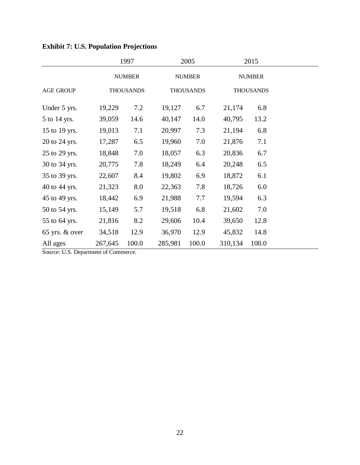|                    |         | 1997             |         | 2005             |         | 2015             |  |  |
|--------------------|---------|------------------|---------|------------------|---------|------------------|--|--|
|                    |         | <b>NUMBER</b>    |         | <b>NUMBER</b>    |         | <b>NUMBER</b>    |  |  |
| <b>AGE GROUP</b>   |         | <b>THOUSANDS</b> |         | <b>THOUSANDS</b> |         | <b>THOUSANDS</b> |  |  |
| Under 5 yrs.       | 19,229  | 7.2              | 19,127  | 6.7              | 21,174  | 6.8              |  |  |
| 5 to 14 yrs.       | 39,059  | 14.6             | 40,147  | 14.0             | 40,795  | 13.2             |  |  |
| 15 to 19 yrs.      | 19,013  | 7.1              | 20,997  | 7.3              | 21,194  | 6.8              |  |  |
| 20 to 24 yrs.      | 17,287  | 6.5              | 19,960  | 7.0              | 21,876  | 7.1              |  |  |
| 25 to 29 yrs.      | 18,848  | 7.0              | 18,057  | 6.3              | 20,836  | 6.7              |  |  |
| 30 to 34 yrs.      | 20,775  | 7.8              | 18,249  | 6.4              | 20,248  | 6.5              |  |  |
| 35 to 39 yrs.      | 22,607  | 8.4              | 19,802  | 6.9              | 18,872  | 6.1              |  |  |
| 40 to 44 yrs.      | 21,323  | 8.0              | 22,363  | 7.8              | 18,726  | 6.0              |  |  |
| 45 to 49 yrs.      | 18,442  | 6.9              | 21,988  | 7.7              | 19,594  | 6.3              |  |  |
| 50 to 54 yrs.      | 15,149  | 5.7              | 19,518  | 6.8              | 21,602  | 7.0              |  |  |
| 55 to 64 yrs.      | 21,816  | 8.2              | 29,606  | 10.4             | 39,650  | 12.8             |  |  |
| $65$ yrs. $&$ over | 34,518  | 12.9             | 36,970  | 12.9             | 45,832  | 14.8             |  |  |
| All ages           | 267,645 | 100.0            | 285,981 | 100.0            | 310,134 | 100.0            |  |  |

**Exhibit 7: U.S. Population Projections**

Source: U.S. Department of Commerce.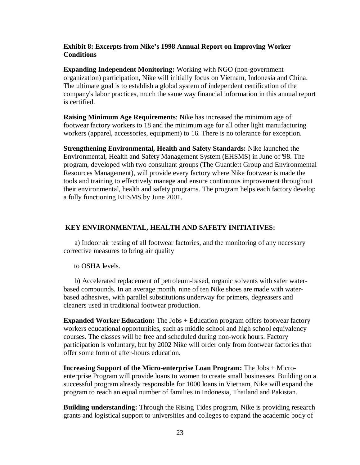#### **Exhibit 8: Excerpts from Nike's 1998 Annual Report on Improving Worker Conditions**

**Expanding Independent Monitoring:** Working with NGO (non-government organization) participation, Nike will initially focus on Vietnam, Indonesia and China. The ultimate goal is to establish a global system of independent certification of the company's labor practices, much the same way financial information in this annual report is certified.

**Raising Minimum Age Requirements**: Nike has increased the minimum age of footwear factory workers to 18 and the minimum age for all other light manufacturing workers (apparel, accessories, equipment) to 16. There is no tolerance for exception.

**Strengthening Environmental, Health and Safety Standards:** Nike launched the Environmental, Health and Safety Management System (EHSMS) in June of '98. The program, developed with two consultant groups (The Guantlett Group and Environmental Resources Management), will provide every factory where Nike footwear is made the tools and training to effectively manage and ensure continuous improvement throughout their environmental, health and safety programs. The program helps each factory develop a fully functioning EHSMS by June 2001.

#### **KEY ENVIRONMENTAL, HEALTH AND SAFETY INITIATIVES:**

 a) Indoor air testing of all footwear factories, and the monitoring of any necessary corrective measures to bring air quality

#### to OSHA levels.

 b) Accelerated replacement of petroleum-based, organic solvents with safer waterbased compounds. In an average month, nine of ten Nike shoes are made with waterbased adhesives, with parallel substitutions underway for primers, degreasers and cleaners used in traditional footwear production.

**Expanded Worker Education:** The Jobs + Education program offers footwear factory workers educational opportunities, such as middle school and high school equivalency courses. The classes will be free and scheduled during non-work hours. Factory participation is voluntary, but by 2002 Nike will order only from footwear factories that offer some form of after-hours education.

**Increasing Support of the Micro-enterprise Loan Program:** The Jobs + Microenterprise Program will provide loans to women to create small businesses. Building on a successful program already responsible for 1000 loans in Vietnam, Nike will expand the program to reach an equal number of families in Indonesia, Thailand and Pakistan.

**Building understanding:** Through the Rising Tides program, Nike is providing research grants and logistical support to universities and colleges to expand the academic body of